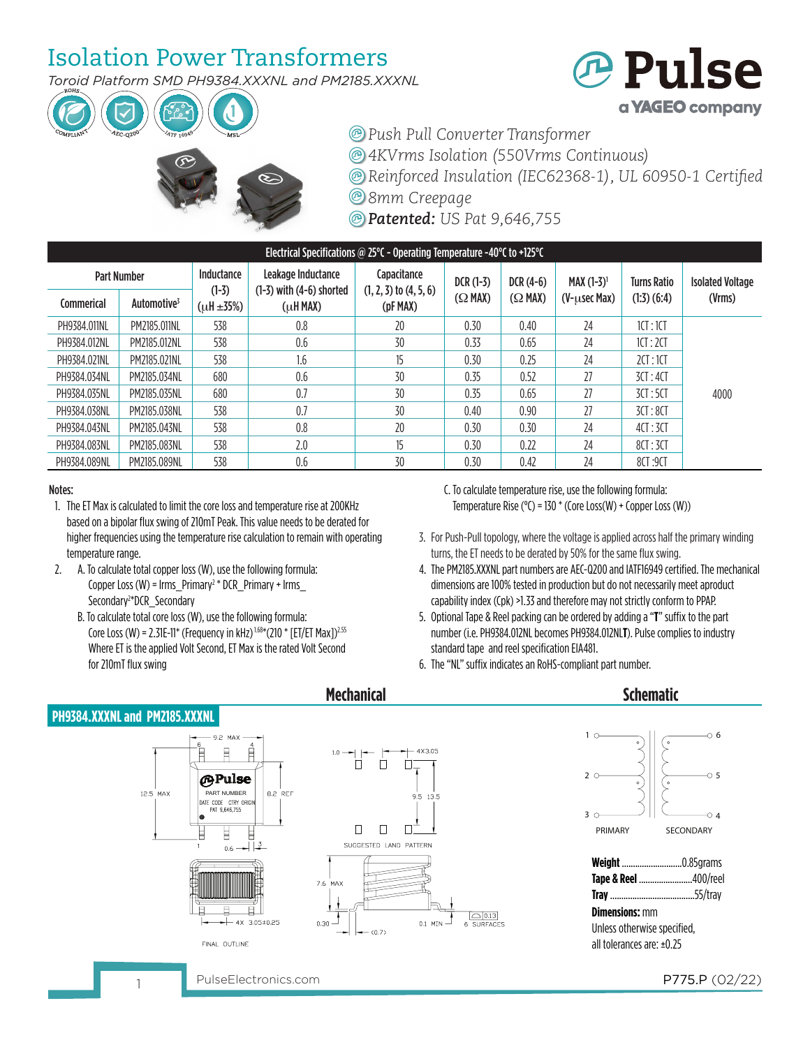## Isolation Power Transformers

*Toroid Platform SMD PH9384.XXXNL and PM2185.XXXNL*







*4KVrms Isolation (550Vrms Continuous)*

*Reinforced Insulation (IEC62368-1), UL 60950-1 Certified*

*8mm Creepage*

*Patented: US Pat 9,646,755*

| Electrical Specifications @ 25 $^{\circ}$ C - Operating Temperature -40 $^{\circ}$ C to +125 $^{\circ}$ C |                         |                       |                                                    |                                           |                |                |                      |                    |                         |  |  |  |
|-----------------------------------------------------------------------------------------------------------|-------------------------|-----------------------|----------------------------------------------------|-------------------------------------------|----------------|----------------|----------------------|--------------------|-------------------------|--|--|--|
| <b>Part Number</b>                                                                                        |                         | Inductance<br>$(1-3)$ | Leakage Inductance<br>$(1-3)$ with $(4-6)$ shorted | Capacitance<br>$(1, 2, 3)$ to $(4, 5, 6)$ | $DCR(1-3)$     | $DCR(4-6)$     | <b>MAX</b> $(1-3)^1$ | <b>Turns Ratio</b> | <b>Isolated Voltage</b> |  |  |  |
| Commerical                                                                                                | Automotive <sup>3</sup> | $(\mu H \pm 35\%)$    | $(\mu$ H MAX)                                      | (pF MAX)                                  | $(\Omega$ MAX) | $(\Omega$ MAX) | $(V$ - $usec$ Max)   | $(1:3)$ $(6:4)$    | (Vrms)                  |  |  |  |
| PH9384.011NL                                                                                              | PM2185.011NL            | 538                   | 0.8                                                | 20                                        | 0.30           | 0.40           | 24                   | 1CT:1CT            |                         |  |  |  |
| PH9384.012NL                                                                                              | PM2185.012NL            | 538                   | 0.6                                                | 30                                        | 0.33           | 0.65           | 24                   | 1CT:2CT            |                         |  |  |  |
| PH9384.021NL                                                                                              | PM2185.021NL            | 538                   | 1.6                                                | 15                                        | 0.30           | 0.25           | 24                   | 2CT:1CT            |                         |  |  |  |
| PH9384.034NL                                                                                              | PM2185.034NL            | 680                   | 0.6                                                | 30                                        | 0.35           | 0.52           | 27                   | 3CT:4CT            |                         |  |  |  |
| PH9384.035NL                                                                                              | PM2185.035NL            | 680                   | 0.7                                                | 30                                        | 0.35           | 0.65           | 27                   | 3CT:5CT            | 4000                    |  |  |  |
| PH9384.038NL                                                                                              | PM2185.038NL            | 538                   | 0.7                                                | 30                                        | 0.40           | 0.90           | 27                   | 3CT:8CT            |                         |  |  |  |
| PH9384.043NL                                                                                              | PM2185.043NL            | 538                   | 0.8                                                | 20                                        | 0.30           | 0.30           | 24                   | 4CI:3CI            |                         |  |  |  |
| PH9384.083NL                                                                                              | PM2185.083NL            | 538                   | 2.0                                                | 15                                        | 0.30           | 0.22           | 24                   | 8CI:3CI            |                         |  |  |  |
| PH9384.089NL                                                                                              | PM2185.089NL            | 538                   | 0.6                                                | 30                                        | 0.30           | 0.42           | 24                   | 8CT:9CT            |                         |  |  |  |

#### Notes:

- 1. The ET Max is calculated to limit the core loss and temperature rise at 200KHz based on a bipolar flux swing of 210mT Peak. This value needs to be derated for higher frequencies using the temperature rise calculation to remain with operating temperature range.
- 2. A. To calculate total copper loss (W), use the following formula: Copper Loss (W) =  $\text{lrms\_Primary}^2 * \text{DCR\_Primary} + \text{lrms\_}$  Secondary2 \*DCR\_Secondary
	- B. To calculate total core loss (W), use the following formula: Core Loss (W) = 2.31E-11\* (Frequency in kHz)<sup>1.68\*</sup>(210 \* [ET/ET Max])<sup>2.55</sup> Where ET is the applied Volt Second, ET Max is the rated Volt Second for 210mT flux swing

 C. To calculate temperature rise, use the following formula: Temperature Rise ( $\degree$ C) = 130  $\degree$  (Core Loss(W) + Copper Loss (W))

- 3. For Push-Pull topology, where the voltage is applied across half the primary winding turns, the ET needs to be derated by 50% for the same flux swing.
- 4. The PM2185.XXXNL part numbers are AEC-Q200 and IATF16949 certified. The mechanical dimensions are 100% tested in production but do not necessarily meet aproduct capability index (Cpk) >1.33 and therefore may not strictly conform to PPAP.
- 5. Optional Tape & Reel packing can be ordered by adding a "**T**" suffix to the part number (i.e. PH9384.012NL becomes PH9384.012NL**T**). Pulse complies to industry standard tape and reel specification EIA481.
- 6. The "NL" suffix indicates an RoHS-compliant part number.



**Mechanical**

pulseElectronics.com **P775.P** (02/22)